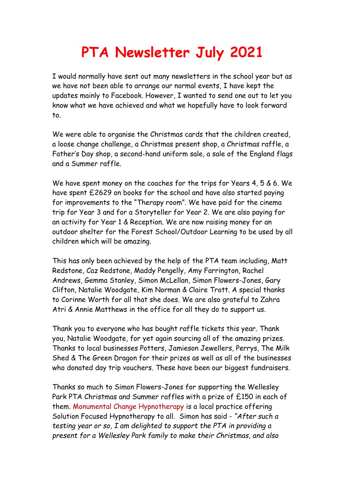## **PTA Newsletter July 2021**

I would normally have sent out many newsletters in the school year but as we have not been able to arrange our normal events, I have kept the updates mainly to Facebook. However, I wanted to send one out to let you know what we have achieved and what we hopefully have to look forward to.

We were able to organise the Christmas cards that the children created, a loose change challenge, a Christmas present shop, a Christmas raffle, a Father's Day shop, a second-hand uniform sale, a sale of the England flags and a Summer raffle.

We have spent money on the coaches for the trips for Years 4, 5 & 6. We have spent £2629 on books for the school and have also started paying for improvements to the "Therapy room". We have paid for the cinema trip for Year 3 and for a Storyteller for Year 2. We are also paying for an activity for Year 1 & Reception. We are now raising money for an outdoor shelter for the Forest School/Outdoor Learning to be used by all children which will be amazing.

This has only been achieved by the help of the PTA team including, Matt Redstone, Caz Redstone, Maddy Pengelly, Amy Farrington, Rachel Andrews, Gemma Stanley, Simon McLellan, Simon Flowers-Jones, Gary Clifton, Natalie Woodgate, Kim Norman & Claire Trott. A special thanks to Corinne Worth for all that she does. We are also grateful to Zahra Atri & Annie Matthews in the office for all they do to support us.

Thank you to everyone who has bought raffle tickets this year. Thank you, Natalie Woodgate, for yet again sourcing all of the amazing prizes. Thanks to local businesses Potters, Jamieson Jewellers, Perrys, The Milk Shed & The Green Dragon for their prizes as well as all of the businesses who donated day trip vouchers. These have been our biggest fundraisers.

Thanks so much to Simon Flowers-Jones for supporting the Wellesley Park PTA Christmas and Summer raffles with a prize of £150 in each of them. Monumental Change Hypnotherapy is a local practice offering Solution Focused Hypnotherapy to all. Simon has said - *"After such a testing year or so, I am delighted to support the PTA in providing a present for a Wellesley Park family to make their Christmas, and also*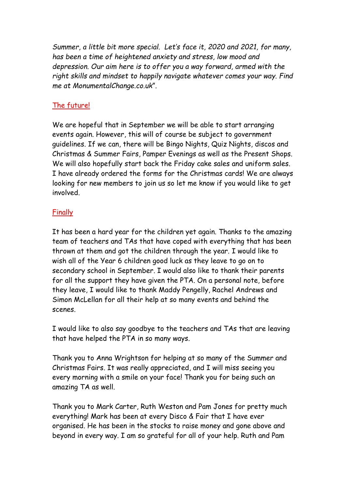*Summer, a little bit more special. Let's face it, 2020 and 2021, for many, has been a time of heightened anxiety and stress, low mood and depression. Our aim here is to offer you a way forward, armed with the right skills and mindset to happily navigate whatever comes your way. Find me at MonumentalChange.co.uk*".

## The future!

We are hopeful that in September we will be able to start arranging events again. However, this will of course be subject to government guidelines. If we can, there will be Bingo Nights, Quiz Nights, discos and Christmas & Summer Fairs, Pamper Evenings as well as the Present Shops. We will also hopefully start back the Friday cake sales and uniform sales. I have already ordered the forms for the Christmas cards! We are always looking for new members to join us so let me know if you would like to get involved.

## Finally

It has been a hard year for the children yet again. Thanks to the amazing team of teachers and TAs that have coped with everything that has been thrown at them and got the children through the year. I would like to wish all of the Year 6 children good luck as they leave to go on to secondary school in September. I would also like to thank their parents for all the support they have given the PTA. On a personal note, before they leave, I would like to thank Maddy Pengelly, Rachel Andrews and Simon McLellan for all their help at so many events and behind the scenes.

I would like to also say goodbye to the teachers and TAs that are leaving that have helped the PTA in so many ways.

Thank you to Anna Wrightson for helping at so many of the Summer and Christmas Fairs. It was really appreciated, and I will miss seeing you every morning with a smile on your face! Thank you for being such an amazing TA as well.

Thank you to Mark Carter, Ruth Weston and Pam Jones for pretty much everything! Mark has been at every Disco & Fair that I have ever organised. He has been in the stocks to raise money and gone above and beyond in every way. I am so grateful for all of your help. Ruth and Pam